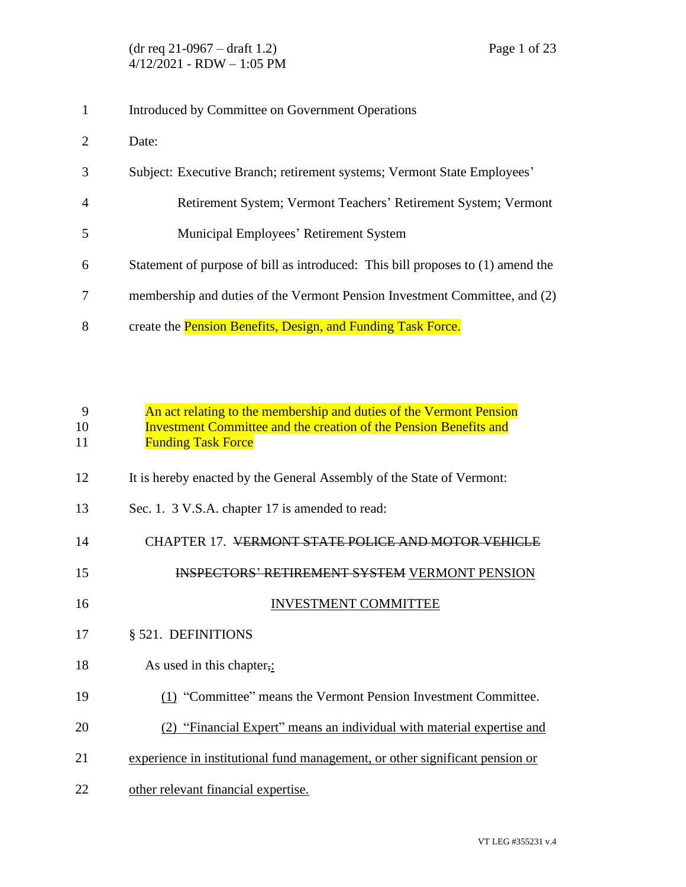- Introduced by Committee on Government Operations
- Date:
- Subject: Executive Branch; retirement systems; Vermont State Employees'
- Retirement System; Vermont Teachers' Retirement System; Vermont
- Municipal Employees' Retirement System
- Statement of purpose of bill as introduced: This bill proposes to (1) amend the
- membership and duties of the Vermont Pension Investment Committee, and (2)
- 8 create the Pension Benefits, Design, and Funding Task Force.

|    | An act relating to the membership and duties of the Vermont Pension      |
|----|--------------------------------------------------------------------------|
| 10 | <b>Investment Committee and the creation of the Pension Benefits and</b> |
| 11 | <b>Funding Task Force</b>                                                |

- 12 It is hereby enacted by the General Assembly of the State of Vermont:
- Sec. 1. 3 V.S.A. chapter 17 is amended to read:
- CHAPTER 17. VERMONT STATE POLICE AND MOTOR VEHICLE
- INSPECTORS' RETIREMENT SYSTEM VERMONT PENSION
- 16 INVESTMENT COMMITTEE
- § 521. DEFINITIONS
- 18 As used in this chapter,:
- (1) "Committee" means the Vermont Pension Investment Committee.
- (2) "Financial Expert" means an individual with material expertise and
- experience in institutional fund management, or other significant pension or
- other relevant financial expertise.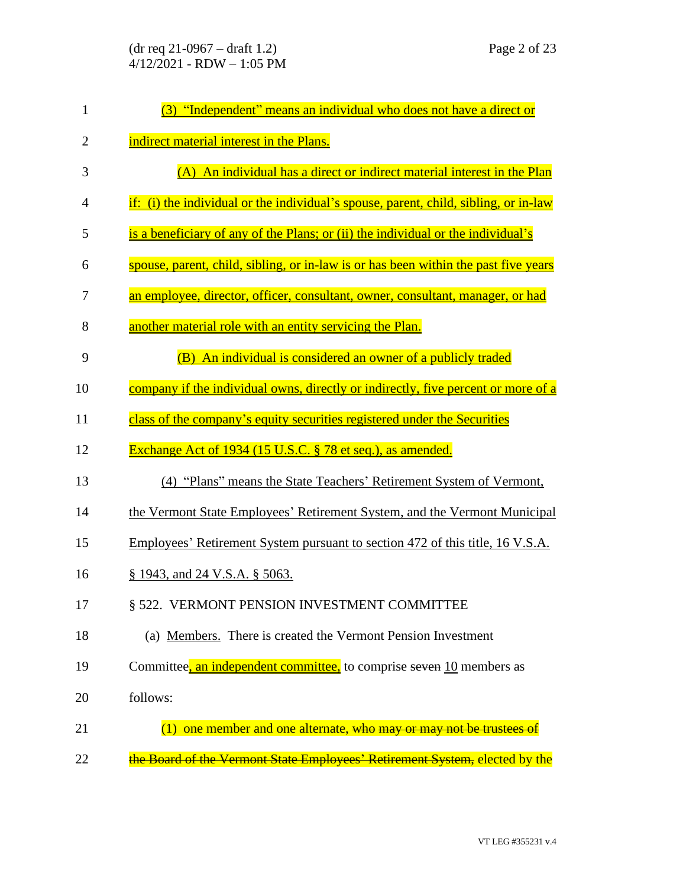| $(dr \text{ req } 21-0967 - draft 1.2)$ |
|-----------------------------------------|
| $4/12/2021$ - RDW $- 1:05$ PM           |

| $\mathbf{1}$   | (3) "Independent" means an individual who does not have a direct or                  |
|----------------|--------------------------------------------------------------------------------------|
| $\overline{2}$ | indirect material interest in the Plans.                                             |
| 3              | (A) An individual has a direct or indirect material interest in the Plan             |
| $\overline{4}$ | if: (i) the individual or the individual's spouse, parent, child, sibling, or in-law |
| 5              | is a beneficiary of any of the Plans; or (ii) the individual or the individual's     |
| 6              | spouse, parent, child, sibling, or in-law is or has been within the past five years  |
| 7              | an employee, director, officer, consultant, owner, consultant, manager, or had       |
| 8              | another material role with an entity servicing the Plan.                             |
| 9              | (B) An individual is considered an owner of a publicly traded                        |
| 10             | company if the individual owns, directly or indirectly, five percent or more of a    |
| 11             | class of the company's equity securities registered under the Securities             |
| 12             | Exchange Act of 1934 (15 U.S.C. § 78 et seq.), as amended.                           |
| 13             | (4) "Plans" means the State Teachers' Retirement System of Vermont,                  |
| 14             | the Vermont State Employees' Retirement System, and the Vermont Municipal            |
| 15             | Employees' Retirement System pursuant to section 472 of this title, 16 V.S.A.        |
| 16             | $\S$ 1943, and 24 V.S.A. $\S$ 5063.                                                  |
| 17             | § 522. VERMONT PENSION INVESTMENT COMMITTEE                                          |
| 18             | (a) Members. There is created the Vermont Pension Investment                         |
| 19             | Committee, an independent committee, to comprise seven 10 members as                 |
| 20             | follows:                                                                             |
| 21             | one member and one alternate, who may or may not be trustees of<br>(1)               |
| 22             | the Board of the Vermont State Employees' Retirement System, elected by the          |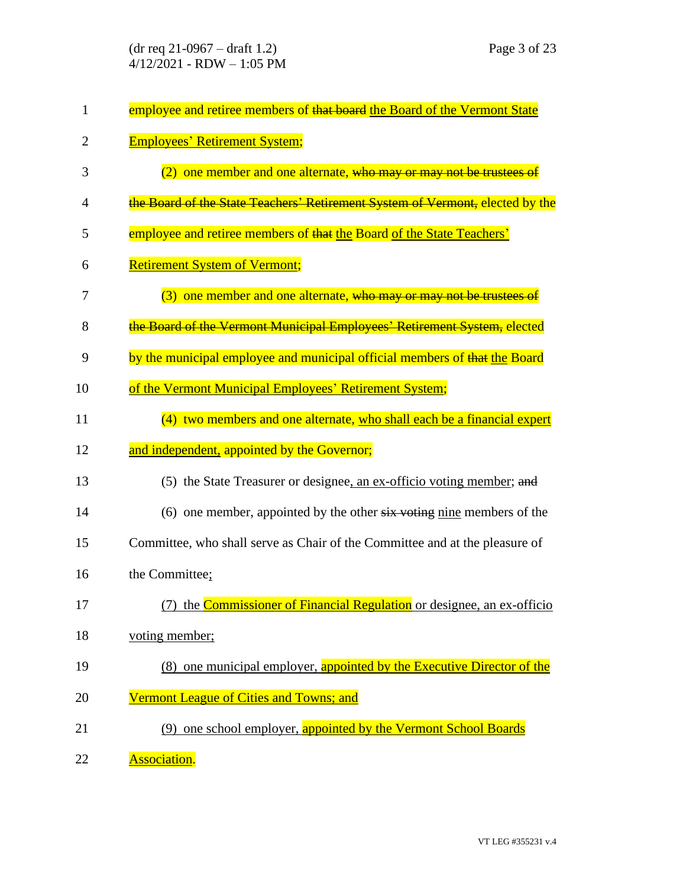| $\mathbf{1}$   | employee and retiree members of that board the Board of the Vermont State          |
|----------------|------------------------------------------------------------------------------------|
| $\overline{2}$ | <b>Employees' Retirement System;</b>                                               |
| 3              | (2) one member and one alternate, who may or may not be trustees of                |
| 4              | the Board of the State Teachers' Retirement System of Vermont, elected by the      |
| 5              | employee and retiree members of that the Board of the State Teachers'              |
| 6              | <b>Retirement System of Vermont;</b>                                               |
| 7              | (3) one member and one alternate, who may or may not be trustees of                |
| 8              | the Board of the Vermont Municipal Employees' Retirement System, elected           |
| 9              | by the municipal employee and municipal official members of that the Board         |
| 10             | of the Vermont Municipal Employees' Retirement System;                             |
| 11             | (4) two members and one alternate, who shall each be a financial expert            |
| 12             | and independent, appointed by the Governor;                                        |
| 13             | (5) the State Treasurer or designee, an ex-officio voting member; and              |
| 14             | (6) one member, appointed by the other $s\overline{i}x$ voting nine members of the |
| 15             | Committee, who shall serve as Chair of the Committee and at the pleasure of        |
| 16             | the Committee;                                                                     |
| 17             | (7) the Commissioner of Financial Regulation or designee, an ex-officio            |
| 18             | voting member;                                                                     |
| 19             | (8) one municipal employer, appointed by the Executive Director of the             |
| 20             | Vermont League of Cities and Towns; and                                            |
| 21             | (9) one school employer, appointed by the Vermont School Boards                    |
| 22             | <b>Association.</b>                                                                |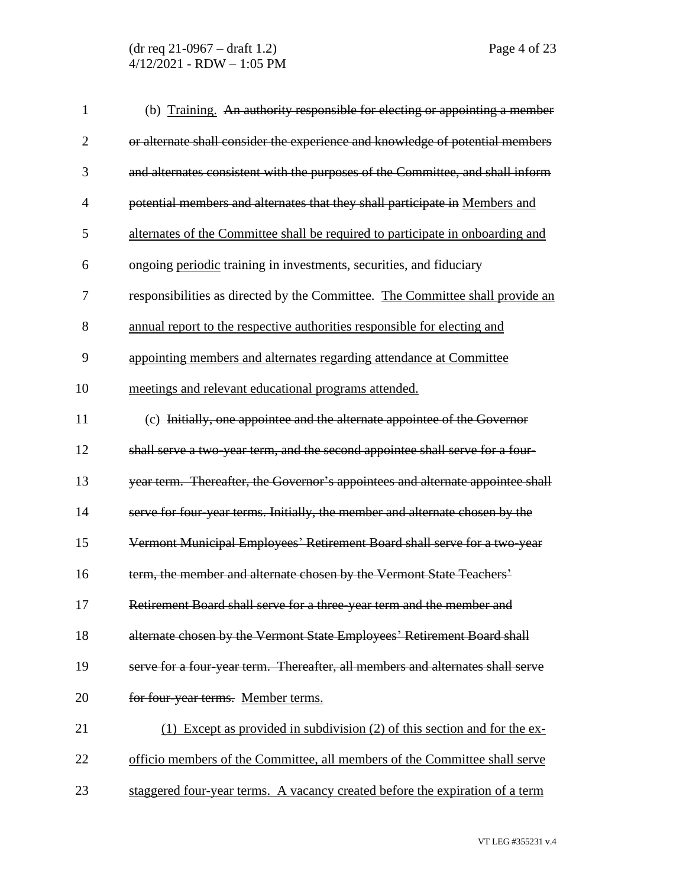(dr req 21-0967 – draft 1.2) Page 4 of 23 4/12/2021 - RDW – 1:05 PM

| $\mathbf{1}$   | (b) Training. An authority responsible for electing or appointing a member     |
|----------------|--------------------------------------------------------------------------------|
| $\overline{2}$ | or alternate shall consider the experience and knowledge of potential members  |
| 3              | and alternates consistent with the purposes of the Committee, and shall inform |
| $\overline{4}$ | potential members and alternates that they shall participate in Members and    |
| 5              | alternates of the Committee shall be required to participate in onboarding and |
| 6              | ongoing periodic training in investments, securities, and fiduciary            |
| 7              | responsibilities as directed by the Committee. The Committee shall provide an  |
| 8              | annual report to the respective authorities responsible for electing and       |
| 9              | appointing members and alternates regarding attendance at Committee            |
| 10             | meetings and relevant educational programs attended.                           |
| 11             | (c) Initially, one appointee and the alternate appointee of the Governor       |
| 12             | shall serve a two-year term, and the second appointee shall serve for a four-  |
| 13             | year term. Thereafter, the Governor's appointees and alternate appointee shall |
| 14             | serve for four-year terms. Initially, the member and alternate chosen by the   |
| 15             | Vermont Municipal Employees' Retirement Board shall serve for a two-year       |
| 16             | term, the member and alternate chosen by the Vermont State Teachers'           |
| 17             | Retirement Board shall serve for a three-year term and the member and          |
| 18             | alternate chosen by the Vermont State Employees' Retirement Board shall        |
| 19             | serve for a four-year term. Thereafter, all members and alternates shall serve |
| 20             | for four-year terms. Member terms.                                             |
| 21             | Except as provided in subdivision (2) of this section and for the ex-          |
| 22             | officio members of the Committee, all members of the Committee shall serve     |
| 23             | staggered four-year terms. A vacancy created before the expiration of a term   |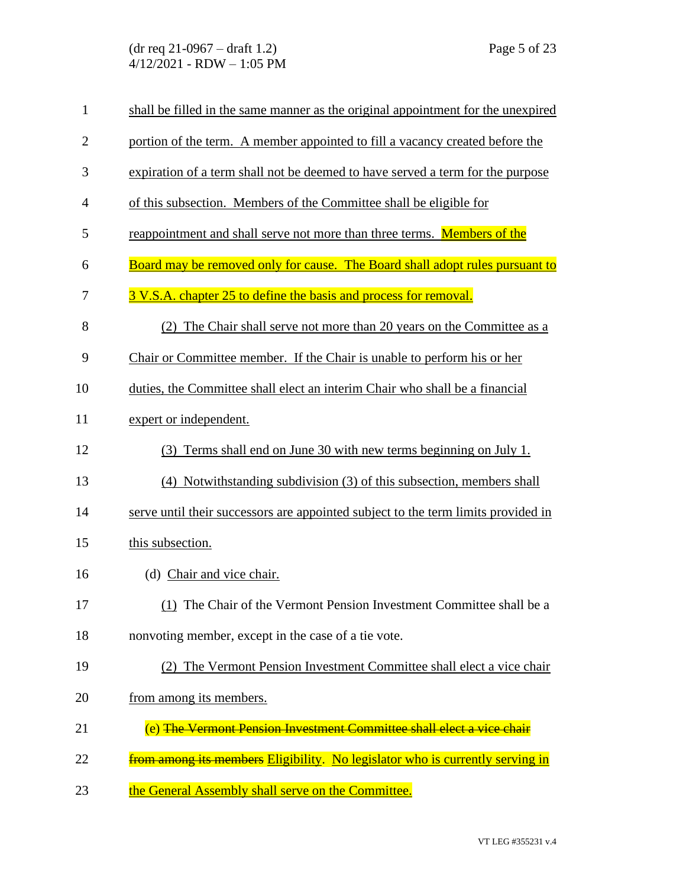(dr req 21-0967 – draft 1.2) Page 5 of 23 4/12/2021 - RDW – 1:05 PM

| $\mathbf{1}$   | shall be filled in the same manner as the original appointment for the unexpired  |
|----------------|-----------------------------------------------------------------------------------|
| $\overline{2}$ | portion of the term. A member appointed to fill a vacancy created before the      |
| 3              | expiration of a term shall not be deemed to have served a term for the purpose    |
| $\overline{4}$ | of this subsection. Members of the Committee shall be eligible for                |
| 5              | reappointment and shall serve not more than three terms. Members of the           |
| 6              | Board may be removed only for cause. The Board shall adopt rules pursuant to      |
| 7              | 3 V.S.A. chapter 25 to define the basis and process for removal.                  |
| 8              | (2) The Chair shall serve not more than 20 years on the Committee as a            |
| 9              | Chair or Committee member. If the Chair is unable to perform his or her           |
| 10             | duties, the Committee shall elect an interim Chair who shall be a financial       |
| 11             | expert or independent.                                                            |
| 12             | Terms shall end on June 30 with new terms beginning on July 1.<br>(3)             |
| 13             | (4) Notwithstanding subdivision (3) of this subsection, members shall             |
| 14             | serve until their successors are appointed subject to the term limits provided in |
| 15             | this subsection.                                                                  |
| 16             | (d) Chair and vice chair.                                                         |
| 17             | (1) The Chair of the Vermont Pension Investment Committee shall be a              |
| 18             | nonvoting member, except in the case of a tie vote.                               |
| 19             | (2) The Vermont Pension Investment Committee shall elect a vice chair             |
| 20             | from among its members.                                                           |
| 21             | (e) The Vermont Pension Investment Committee shall elect a vice chair             |
| 22             | from among its members Eligibility. No legislator who is currently serving in     |
| 23             | the General Assembly shall serve on the Committee.                                |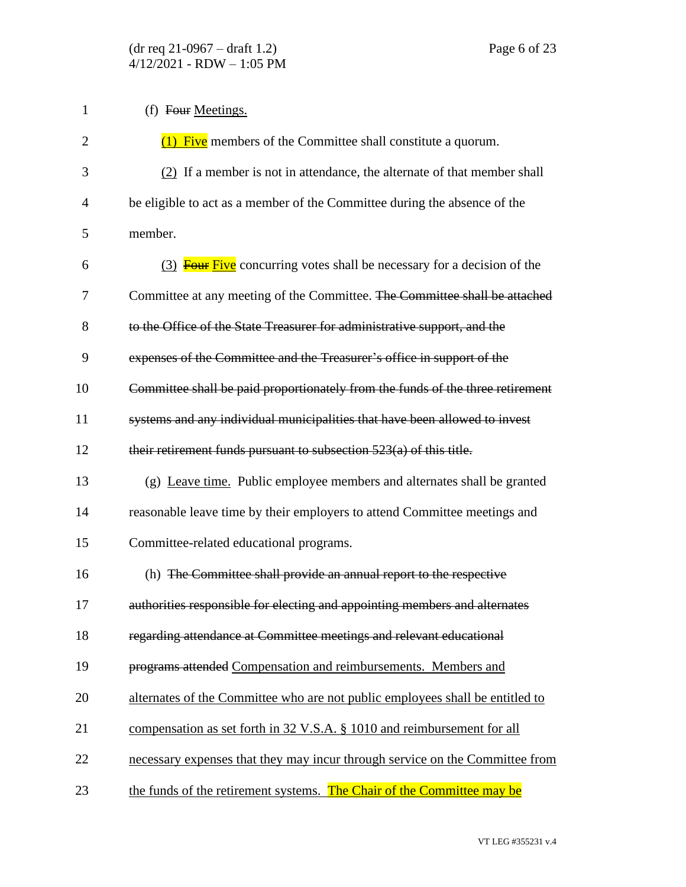| $\mathbf{1}$   | (f) Four Meetings.                                                             |
|----------------|--------------------------------------------------------------------------------|
| $\overline{2}$ | $(1)$ Five members of the Committee shall constitute a quorum.                 |
| 3              | (2) If a member is not in attendance, the alternate of that member shall       |
| $\overline{4}$ | be eligible to act as a member of the Committee during the absence of the      |
| 5              | member.                                                                        |
| 6              | (3) <b>Four Five</b> concurring votes shall be necessary for a decision of the |
| 7              | Committee at any meeting of the Committee. The Committee shall be attached     |
| 8              | to the Office of the State Treasurer for administrative support, and the       |
| 9              | expenses of the Committee and the Treasurer's office in support of the         |
| 10             | Committee shall be paid proportionately from the funds of the three retirement |
| 11             | systems and any individual municipalities that have been allowed to invest     |
| 12             | their retirement funds pursuant to subsection $523(a)$ of this title.          |
| 13             | (g) Leave time. Public employee members and alternates shall be granted        |
| 14             | reasonable leave time by their employers to attend Committee meetings and      |
| 15             | Committee-related educational programs.                                        |
| 16             | (h) The Committee shall provide an annual report to the respective             |
| 17             | authorities responsible for electing and appointing members and alternates     |
| 18             | regarding attendance at Committee meetings and relevant educational            |
| 19             | programs attended Compensation and reimbursements. Members and                 |
| 20             | alternates of the Committee who are not public employees shall be entitled to  |
| 21             | compensation as set forth in 32 V.S.A. § 1010 and reimbursement for all        |
| 22             | necessary expenses that they may incur through service on the Committee from   |
| 23             | the funds of the retirement systems. The Chair of the Committee may be         |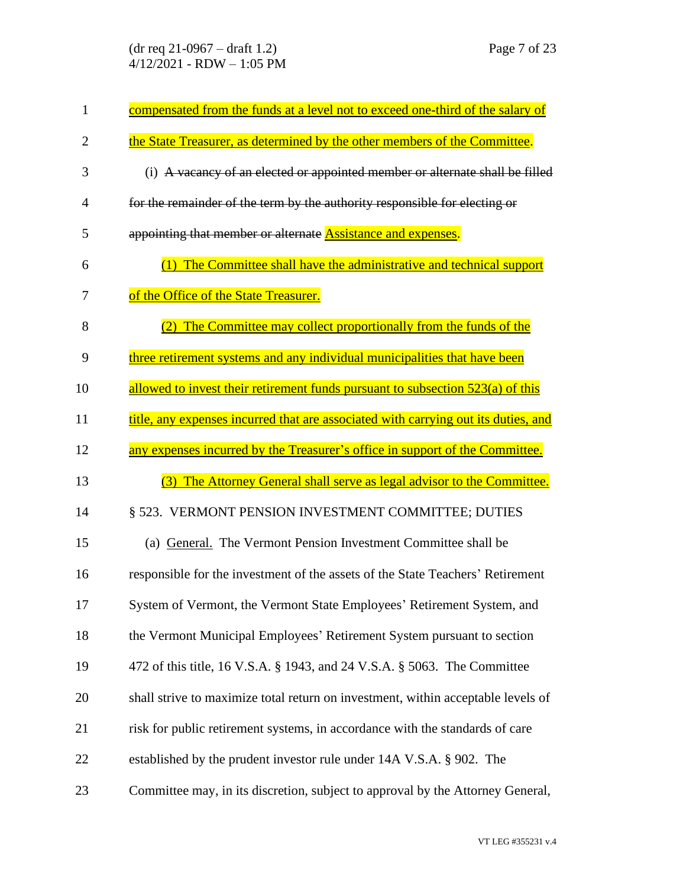(dr req 21-0967 – draft 1.2) Page 7 of 23 4/12/2021 - RDW – 1:05 PM

| $\mathbf{1}$   | compensated from the funds at a level not to exceed one-third of the salary of     |
|----------------|------------------------------------------------------------------------------------|
| $\overline{2}$ | the State Treasurer, as determined by the other members of the Committee.          |
| 3              | (i) A vacancy of an elected or appointed member or alternate shall be filled       |
| 4              | for the remainder of the term by the authority responsible for electing or         |
| 5              | appointing that member or alternate <b>Assistance and expenses</b> .               |
| 6              | The Committee shall have the administrative and technical support                  |
| 7              | of the Office of the State Treasurer.                                              |
| 8              | The Committee may collect proportionally from the funds of the                     |
| 9              | three retirement systems and any individual municipalities that have been          |
| 10             | allowed to invest their retirement funds pursuant to subsection 523(a) of this     |
| 11             | title, any expenses incurred that are associated with carrying out its duties, and |
| 12             | any expenses incurred by the Treasurer's office in support of the Committee.       |
| 13             | The Attorney General shall serve as legal advisor to the Committee.<br>(3)         |
| 14             | § 523. VERMONT PENSION INVESTMENT COMMITTEE; DUTIES                                |
| 15             | (a) General. The Vermont Pension Investment Committee shall be                     |
| 16             | responsible for the investment of the assets of the State Teachers' Retirement     |
| 17             | System of Vermont, the Vermont State Employees' Retirement System, and             |
| 18             | the Vermont Municipal Employees' Retirement System pursuant to section             |
| 19             | 472 of this title, 16 V.S.A. § 1943, and 24 V.S.A. § 5063. The Committee           |
| 20             | shall strive to maximize total return on investment, within acceptable levels of   |
| 21             | risk for public retirement systems, in accordance with the standards of care       |
| 22             | established by the prudent investor rule under 14A V.S.A. § 902. The               |
| 23             | Committee may, in its discretion, subject to approval by the Attorney General,     |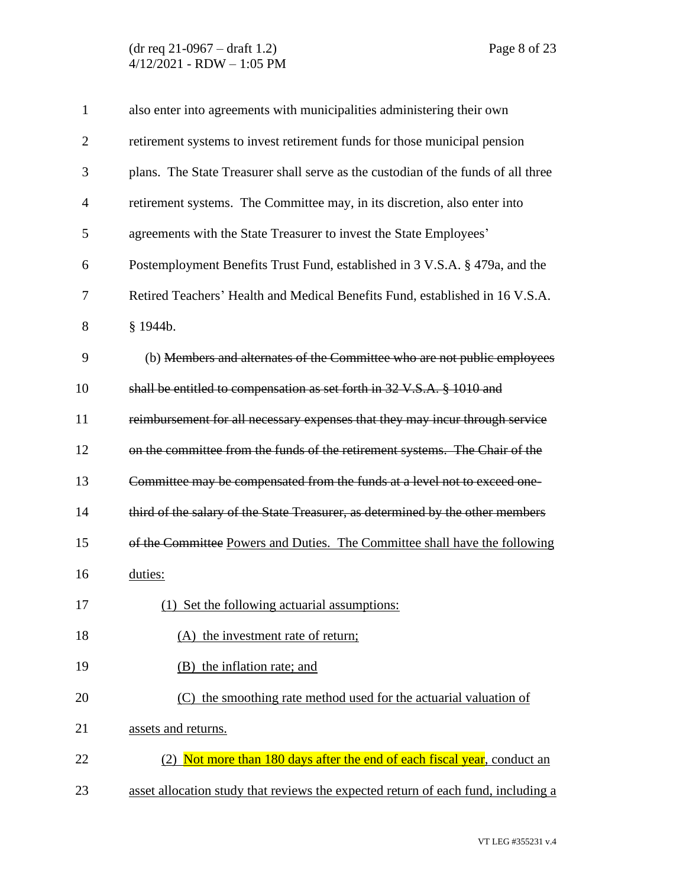| $\mathbf{1}$   | also enter into agreements with municipalities administering their own            |
|----------------|-----------------------------------------------------------------------------------|
| $\overline{2}$ | retirement systems to invest retirement funds for those municipal pension         |
| 3              | plans. The State Treasurer shall serve as the custodian of the funds of all three |
| 4              | retirement systems. The Committee may, in its discretion, also enter into         |
| 5              | agreements with the State Treasurer to invest the State Employees'                |
| 6              | Postemployment Benefits Trust Fund, established in 3 V.S.A. § 479a, and the       |
| 7              | Retired Teachers' Health and Medical Benefits Fund, established in 16 V.S.A.      |
| 8              | § 1944b.                                                                          |
| 9              | (b) Members and alternates of the Committee who are not public employees          |
| 10             | shall be entitled to compensation as set forth in 32 V.S.A. § 1010 and            |
| 11             | reimbursement for all necessary expenses that they may incur through service      |
| 12             | on the committee from the funds of the retirement systems. The Chair of the       |
| 13             | Committee may be compensated from the funds at a level not to exceed one-         |
| 14             | third of the salary of the State Treasurer, as determined by the other members    |
| 15             | of the Committee Powers and Duties. The Committee shall have the following        |
| 16             | duties:                                                                           |
| 17             | (1) Set the following actuarial assumptions:                                      |
| 18             | (A) the investment rate of return;                                                |
| 19             | (B) the inflation rate; and                                                       |
| 20             | (C) the smoothing rate method used for the actuarial valuation of                 |
| 21             | assets and returns.                                                               |
| 22             | Not more than 180 days after the end of each fiscal year, conduct an              |
| 23             | asset allocation study that reviews the expected return of each fund, including a |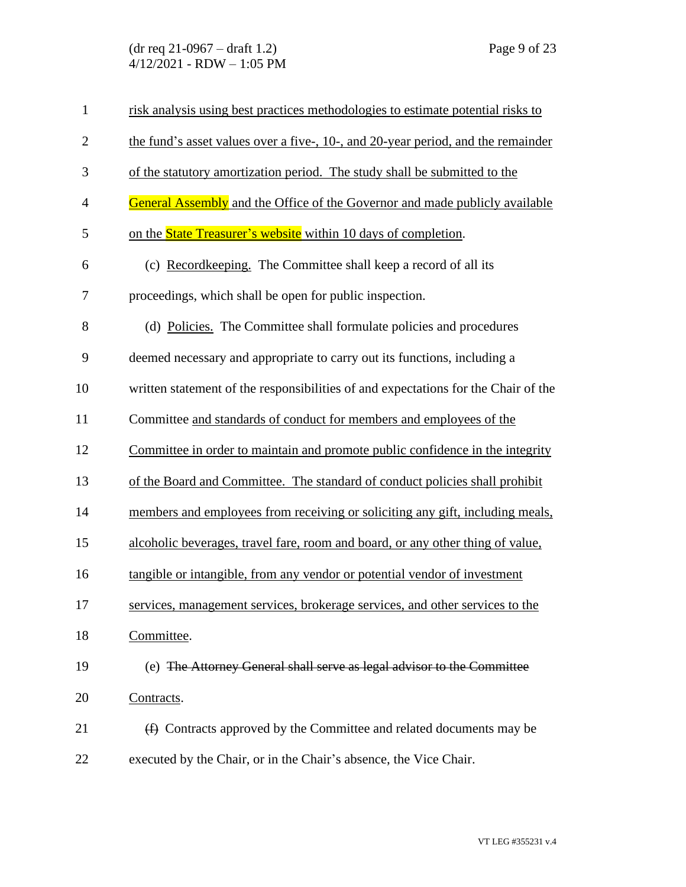(dr req 21-0967 – draft 1.2) Page 9 of 23 4/12/2021 - RDW – 1:05 PM

| $\mathbf{1}$   | risk analysis using best practices methodologies to estimate potential risks to    |
|----------------|------------------------------------------------------------------------------------|
| $\overline{2}$ | the fund's asset values over a five-, 10-, and 20-year period, and the remainder   |
| 3              | of the statutory amortization period. The study shall be submitted to the          |
| $\overline{4}$ | <b>General Assembly</b> and the Office of the Governor and made publicly available |
| 5              | on the <b>State Treasurer's website</b> within 10 days of completion.              |
| 6              | (c) Recordkeeping. The Committee shall keep a record of all its                    |
| 7              | proceedings, which shall be open for public inspection.                            |
| 8              | (d) Policies. The Committee shall formulate policies and procedures                |
| 9              | deemed necessary and appropriate to carry out its functions, including a           |
| 10             | written statement of the responsibilities of and expectations for the Chair of the |
| 11             | Committee and standards of conduct for members and employees of the                |
| 12             | Committee in order to maintain and promote public confidence in the integrity      |
| 13             | of the Board and Committee. The standard of conduct policies shall prohibit        |
| 14             | members and employees from receiving or soliciting any gift, including meals,      |
| 15             | alcoholic beverages, travel fare, room and board, or any other thing of value,     |
| 16             | tangible or intangible, from any vendor or potential vendor of investment          |
| 17             | services, management services, brokerage services, and other services to the       |
| 18             | Committee.                                                                         |
| 19             | (e) The Attorney General shall serve as legal advisor to the Committee             |
| 20             | Contracts.                                                                         |
| 21             | $(f)$ Contracts approved by the Committee and related documents may be             |
| 22             | executed by the Chair, or in the Chair's absence, the Vice Chair.                  |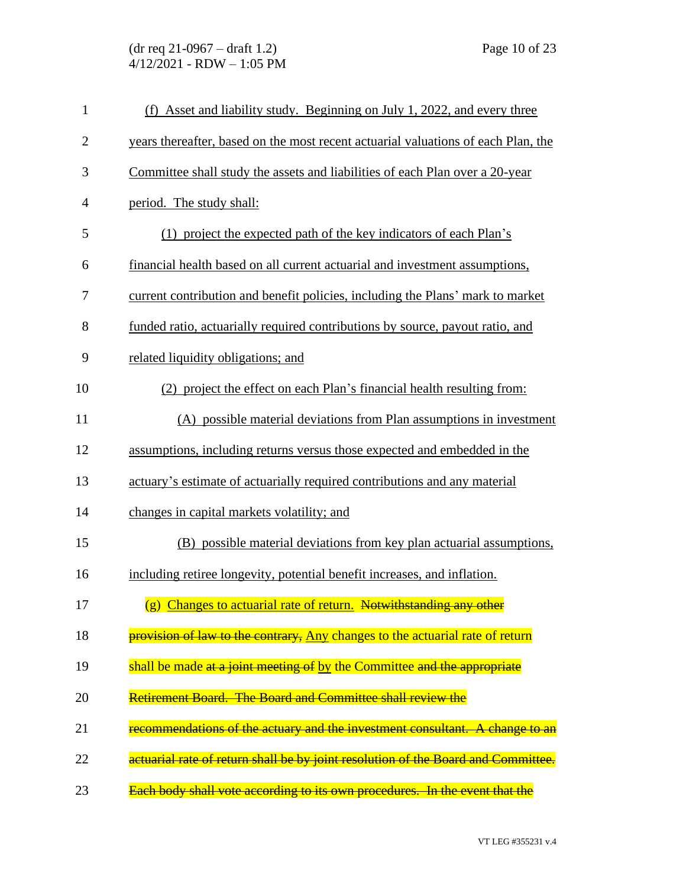(dr req 21-0967 – draft 1.2) Page 10 of 23 4/12/2021 - RDW – 1:05 PM

| $\mathbf{1}$   | (f) Asset and liability study. Beginning on July 1, 2022, and every three         |
|----------------|-----------------------------------------------------------------------------------|
| $\overline{2}$ | years thereafter, based on the most recent actuarial valuations of each Plan, the |
| 3              | Committee shall study the assets and liabilities of each Plan over a 20-year      |
| $\overline{4}$ | period. The study shall:                                                          |
| 5              | (1) project the expected path of the key indicators of each Plan's                |
| 6              | financial health based on all current actuarial and investment assumptions,       |
| 7              | current contribution and benefit policies, including the Plans' mark to market    |
| 8              | funded ratio, actuarially required contributions by source, payout ratio, and     |
| 9              | related liquidity obligations; and                                                |
| 10             | (2) project the effect on each Plan's financial health resulting from:            |
| 11             | (A) possible material deviations from Plan assumptions in investment              |
| 12             | assumptions, including returns versus those expected and embedded in the          |
| 13             | actuary's estimate of actuarially required contributions and any material         |
| 14             | changes in capital markets volatility; and                                        |
| 15             | (B) possible material deviations from key plan actuarial assumptions,             |
| 16             | including retiree longevity, potential benefit increases, and inflation.          |
| 17             | (g) Changes to actuarial rate of return. Notwithstanding any other                |
| 18             | provision of law to the contrary, Any changes to the actuarial rate of return     |
| 19             | shall be made at a joint meeting of by the Committee and the appropriate          |
| 20             | <b>Retirement Board. The Board and Committee shall review the</b>                 |
| 21             | recommendations of the actuary and the investment consultant. A change to an      |
| 22             | actuarial rate of return shall be by joint resolution of the Board and Committee. |
| 23             | Each body shall vote according to its own procedures. In the event that the       |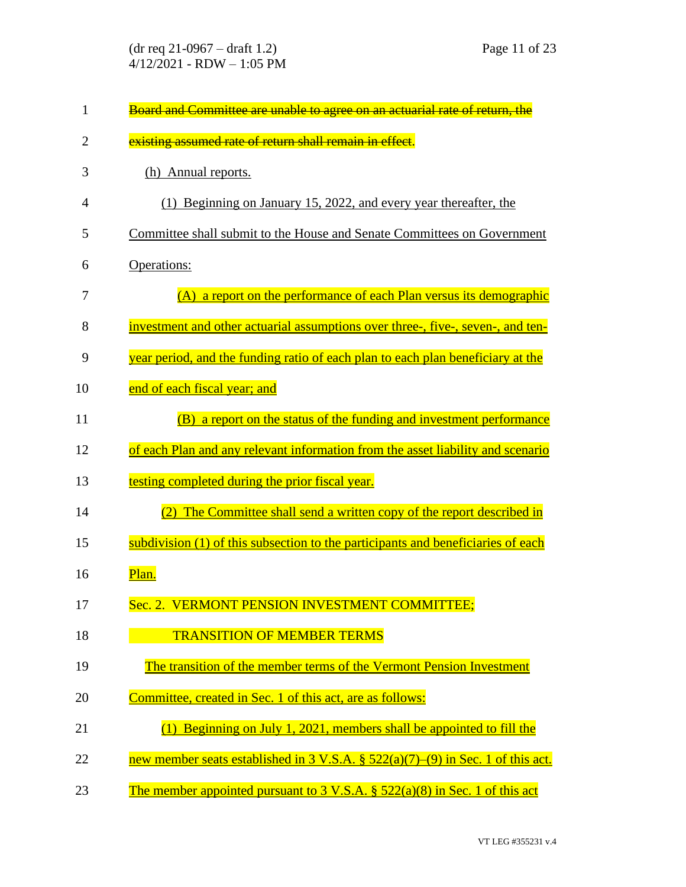| $\mathbf{1}$   | Board and Committee are unable to agree on an actuarial rate of return, the                      |
|----------------|--------------------------------------------------------------------------------------------------|
| $\overline{2}$ | existing assumed rate of return shall remain in effect.                                          |
| 3              | (h) Annual reports.                                                                              |
| 4              | (1) Beginning on January 15, 2022, and every year thereafter, the                                |
| 5              | Committee shall submit to the House and Senate Committees on Government                          |
| 6              | Operations:                                                                                      |
| 7              | a report on the performance of each Plan versus its demographic<br>(A)                           |
| 8              | investment and other actuarial assumptions over three-, five-, seven-, and ten-                  |
| 9              | year period, and the funding ratio of each plan to each plan beneficiary at the                  |
| 10             | end of each fiscal year; and                                                                     |
| 11             | a report on the status of the funding and investment performance<br>(B)                          |
| 12             | of each Plan and any relevant information from the asset liability and scenario                  |
| 13             | testing completed during the prior fiscal year.                                                  |
| 14             | The Committee shall send a written copy of the report described in                               |
| 15             | subdivision (1) of this subsection to the participants and beneficiaries of each                 |
| 16             | Plan.                                                                                            |
| 17             | Sec. 2. VERMONT PENSION INVESTMENT COMMITTEE;                                                    |
| 18             | <b>TRANSITION OF MEMBER TERMS</b>                                                                |
| 19             | The transition of the member terms of the Vermont Pension Investment                             |
| 20             | Committee, created in Sec. 1 of this act, are as follows:                                        |
| 21             | Beginning on July 1, 2021, members shall be appointed to fill the                                |
| 22             | new member seats established in $3 \text{ V.S.A. }$ $\S$ $522(a)(7)$ –(9) in Sec. 1 of this act. |
| 23             | The member appointed pursuant to $3 \text{ V.S.A. }$ $\S$ $522(a)(8)$ in Sec. 1 of this act      |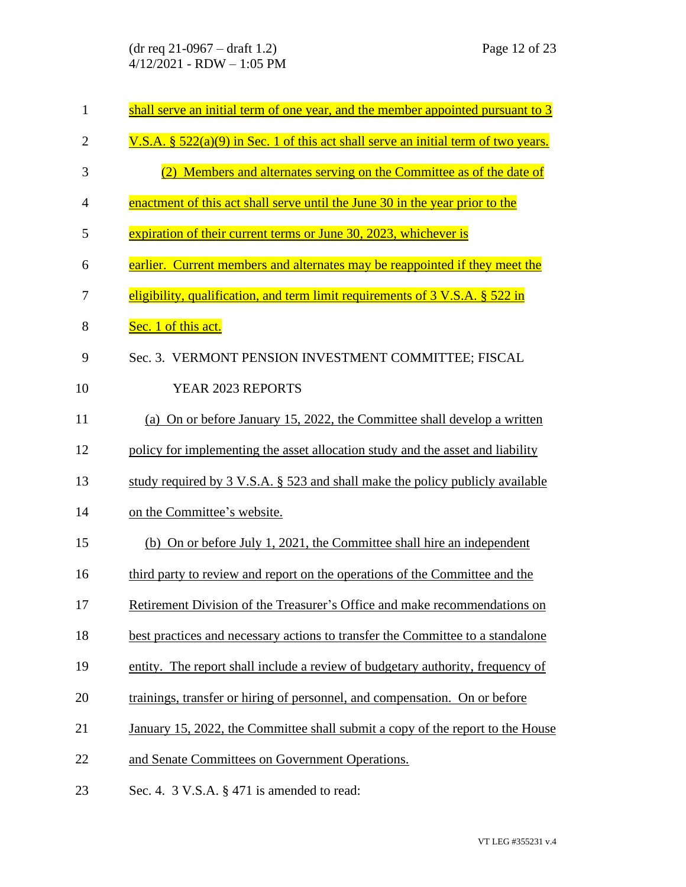(dr req 21-0967 – draft 1.2) Page 12 of 23 4/12/2021 - RDW – 1:05 PM

| $\mathbf{1}$   | shall serve an initial term of one year, and the member appointed pursuant to 3       |
|----------------|---------------------------------------------------------------------------------------|
| $\overline{2}$ | V.S.A. $\S$ 522(a)(9) in Sec. 1 of this act shall serve an initial term of two years. |
| 3              | (2) Members and alternates serving on the Committee as of the date of                 |
| 4              | enactment of this act shall serve until the June 30 in the year prior to the          |
| 5              | expiration of their current terms or June 30, 2023, whichever is                      |
| 6              | earlier. Current members and alternates may be reappointed if they meet the           |
| 7              | eligibility, qualification, and term limit requirements of $3$ V.S.A. $\S$ 522 in     |
| 8              | Sec. 1 of this act.                                                                   |
| 9              | Sec. 3. VERMONT PENSION INVESTMENT COMMITTEE; FISCAL                                  |
| 10             | YEAR 2023 REPORTS                                                                     |
| 11             | (a) On or before January 15, 2022, the Committee shall develop a written              |
| 12             | policy for implementing the asset allocation study and the asset and liability        |
| 13             | study required by 3 V.S.A. § 523 and shall make the policy publicly available         |
| 14             | on the Committee's website.                                                           |
| 15             | (b) On or before July 1, 2021, the Committee shall hire an independent                |
| 16             | third party to review and report on the operations of the Committee and the           |
| 17             | Retirement Division of the Treasurer's Office and make recommendations on             |
| 18             | best practices and necessary actions to transfer the Committee to a standalone        |
| 19             | entity. The report shall include a review of budgetary authority, frequency of        |
| 20             | trainings, transfer or hiring of personnel, and compensation. On or before            |
| 21             | January 15, 2022, the Committee shall submit a copy of the report to the House        |
| 22             | and Senate Committees on Government Operations.                                       |
| 23             | Sec. 4. $3$ V.S.A. $\S$ 471 is amended to read:                                       |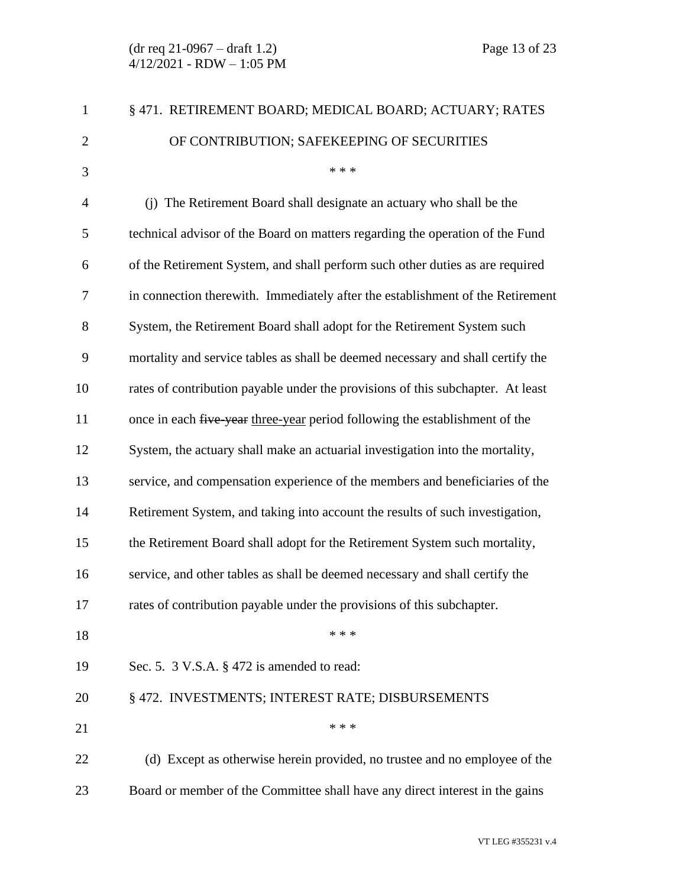| $\mathbf{1}$   | § 471. RETIREMENT BOARD; MEDICAL BOARD; ACTUARY; RATES                          |
|----------------|---------------------------------------------------------------------------------|
| $\overline{2}$ | OF CONTRIBUTION; SAFEKEEPING OF SECURITIES                                      |
| 3              | * * *                                                                           |
| $\overline{4}$ | (j) The Retirement Board shall designate an actuary who shall be the            |
| 5              | technical advisor of the Board on matters regarding the operation of the Fund   |
| 6              | of the Retirement System, and shall perform such other duties as are required   |
| $\tau$         | in connection therewith. Immediately after the establishment of the Retirement  |
| 8              | System, the Retirement Board shall adopt for the Retirement System such         |
| 9              | mortality and service tables as shall be deemed necessary and shall certify the |
| 10             | rates of contribution payable under the provisions of this subchapter. At least |
| 11             | once in each five year three-year period following the establishment of the     |
| 12             | System, the actuary shall make an actuarial investigation into the mortality,   |
| 13             | service, and compensation experience of the members and beneficiaries of the    |
| 14             | Retirement System, and taking into account the results of such investigation,   |
| 15             | the Retirement Board shall adopt for the Retirement System such mortality,      |
| 16             | service, and other tables as shall be deemed necessary and shall certify the    |
| 17             | rates of contribution payable under the provisions of this subchapter.          |
| 18             | * * *                                                                           |
| 19             | Sec. 5. $3$ V.S.A. $\S$ 472 is amended to read:                                 |
| 20             | § 472. INVESTMENTS; INTEREST RATE; DISBURSEMENTS                                |
| 21             | * * *                                                                           |
| 22             | (d) Except as otherwise herein provided, no trustee and no employee of the      |
| 23             | Board or member of the Committee shall have any direct interest in the gains    |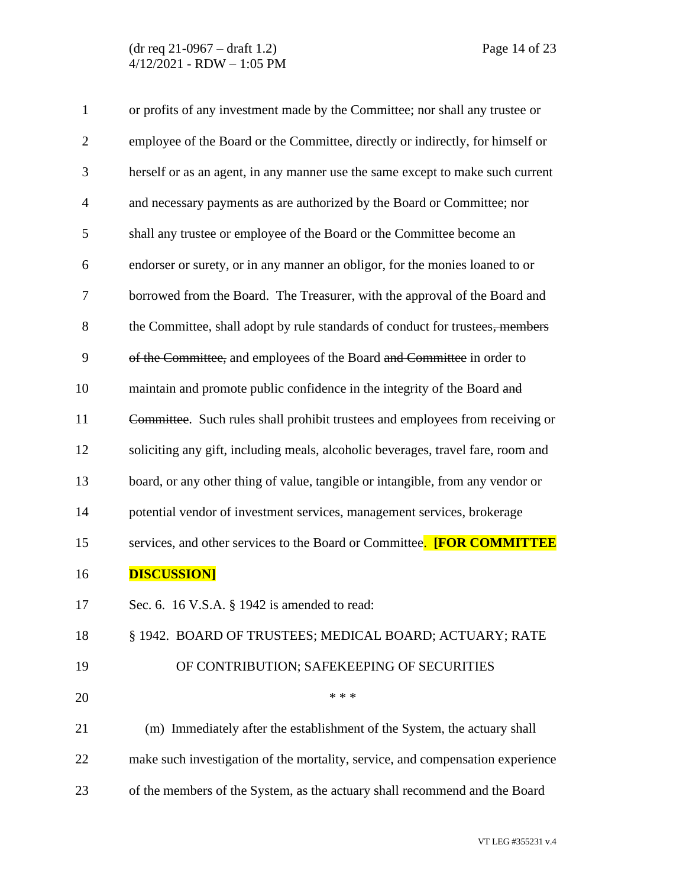| $\mathbf{1}$ | or profits of any investment made by the Committee; nor shall any trustee or     |
|--------------|----------------------------------------------------------------------------------|
| $\mathbf{2}$ | employee of the Board or the Committee, directly or indirectly, for himself or   |
| 3            | herself or as an agent, in any manner use the same except to make such current   |
| 4            | and necessary payments as are authorized by the Board or Committee; nor          |
| 5            | shall any trustee or employee of the Board or the Committee become an            |
| 6            | endorser or surety, or in any manner an obligor, for the monies loaned to or     |
| 7            | borrowed from the Board. The Treasurer, with the approval of the Board and       |
| 8            | the Committee, shall adopt by rule standards of conduct for trustees, members    |
| 9            | of the Committee, and employees of the Board and Committee in order to           |
| 10           | maintain and promote public confidence in the integrity of the Board and         |
| 11           | Committee. Such rules shall prohibit trustees and employees from receiving or    |
| 12           | soliciting any gift, including meals, alcoholic beverages, travel fare, room and |
| 13           | board, or any other thing of value, tangible or intangible, from any vendor or   |
| 14           | potential vendor of investment services, management services, brokerage          |
| 15           | services, and other services to the Board or Committee. [FOR COMMITTEE           |
| 16           | <b>DISCUSSION]</b>                                                               |
| 17           | Sec. 6. 16 V.S.A. § 1942 is amended to read:                                     |
| 18           | § 1942. BOARD OF TRUSTEES; MEDICAL BOARD; ACTUARY; RATE                          |
| 19           | OF CONTRIBUTION; SAFEKEEPING OF SECURITIES                                       |
| 20           | * * *                                                                            |
| 21           | (m) Immediately after the establishment of the System, the actuary shall         |
| 22           | make such investigation of the mortality, service, and compensation experience   |
| 23           | of the members of the System, as the actuary shall recommend and the Board       |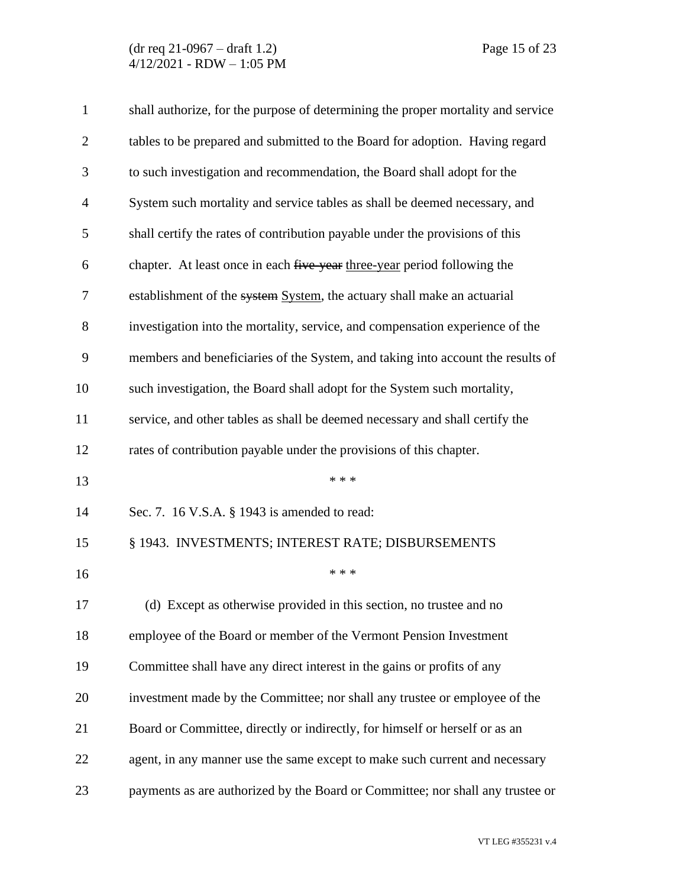| $\mathbf{1}$   | shall authorize, for the purpose of determining the proper mortality and service |
|----------------|----------------------------------------------------------------------------------|
| $\overline{2}$ | tables to be prepared and submitted to the Board for adoption. Having regard     |
| 3              | to such investigation and recommendation, the Board shall adopt for the          |
| $\overline{4}$ | System such mortality and service tables as shall be deemed necessary, and       |
| 5              | shall certify the rates of contribution payable under the provisions of this     |
| 6              | chapter. At least once in each five year three-year period following the         |
| 7              | establishment of the system System, the actuary shall make an actuarial          |
| 8              | investigation into the mortality, service, and compensation experience of the    |
| 9              | members and beneficiaries of the System, and taking into account the results of  |
| 10             | such investigation, the Board shall adopt for the System such mortality,         |
| 11             | service, and other tables as shall be deemed necessary and shall certify the     |
| 12             | rates of contribution payable under the provisions of this chapter.              |
| 13             | * * *                                                                            |
| 14             | Sec. 7. 16 V.S.A. § 1943 is amended to read:                                     |
| 15             | § 1943. INVESTMENTS; INTEREST RATE; DISBURSEMENTS                                |
| 16             | * * *                                                                            |
| 17             | (d) Except as otherwise provided in this section, no trustee and no              |
| 18             | employee of the Board or member of the Vermont Pension Investment                |
| 19             | Committee shall have any direct interest in the gains or profits of any          |
| 20             | investment made by the Committee; nor shall any trustee or employee of the       |
| 21             | Board or Committee, directly or indirectly, for himself or herself or as an      |
| 22             | agent, in any manner use the same except to make such current and necessary      |
| 23             | payments as are authorized by the Board or Committee; nor shall any trustee or   |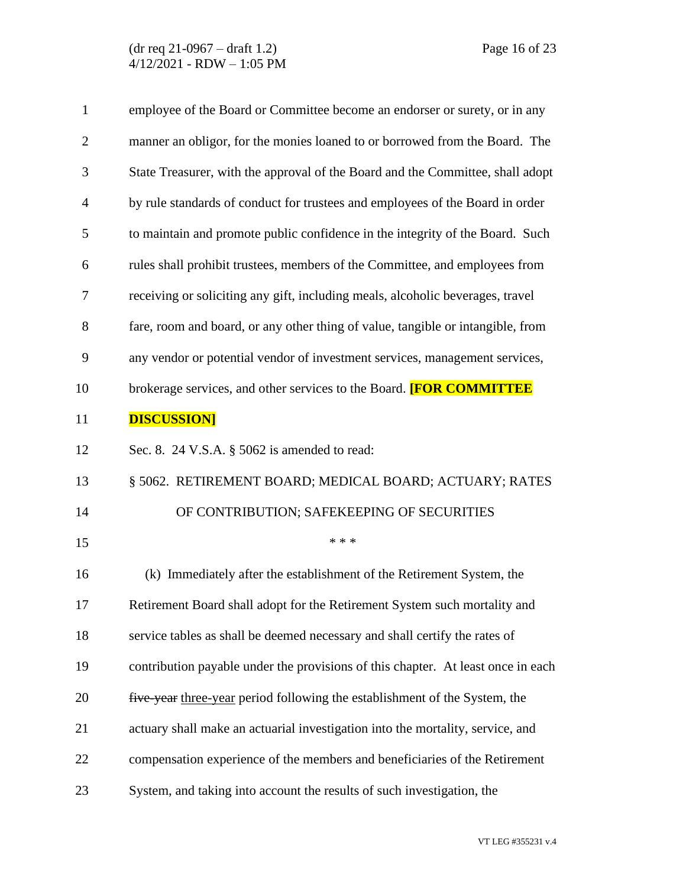| $\mathbf{1}$   | employee of the Board or Committee become an endorser or surety, or in any       |
|----------------|----------------------------------------------------------------------------------|
| $\overline{2}$ | manner an obligor, for the monies loaned to or borrowed from the Board. The      |
| 3              | State Treasurer, with the approval of the Board and the Committee, shall adopt   |
| $\overline{4}$ | by rule standards of conduct for trustees and employees of the Board in order    |
| 5              | to maintain and promote public confidence in the integrity of the Board. Such    |
| 6              | rules shall prohibit trustees, members of the Committee, and employees from      |
| 7              | receiving or soliciting any gift, including meals, alcoholic beverages, travel   |
| 8              | fare, room and board, or any other thing of value, tangible or intangible, from  |
| 9              | any vendor or potential vendor of investment services, management services,      |
| 10             | brokerage services, and other services to the Board. <b>[FOR COMMITTEE</b>       |
| 11             | <b>DISCUSSION]</b>                                                               |
| 12             | Sec. 8. 24 V.S.A. $\S$ 5062 is amended to read:                                  |
| 13             | § 5062. RETIREMENT BOARD; MEDICAL BOARD; ACTUARY; RATES                          |
| 14             | OF CONTRIBUTION; SAFEKEEPING OF SECURITIES                                       |
| 15             | * * *                                                                            |
| 16             | (k) Immediately after the establishment of the Retirement System, the            |
| 17             | Retirement Board shall adopt for the Retirement System such mortality and        |
| 18             | service tables as shall be deemed necessary and shall certify the rates of       |
| 19             | contribution payable under the provisions of this chapter. At least once in each |
| 20             | five-year three-year period following the establishment of the System, the       |
| 21             | actuary shall make an actuarial investigation into the mortality, service, and   |
| 22             | compensation experience of the members and beneficiaries of the Retirement       |
| 23             | System, and taking into account the results of such investigation, the           |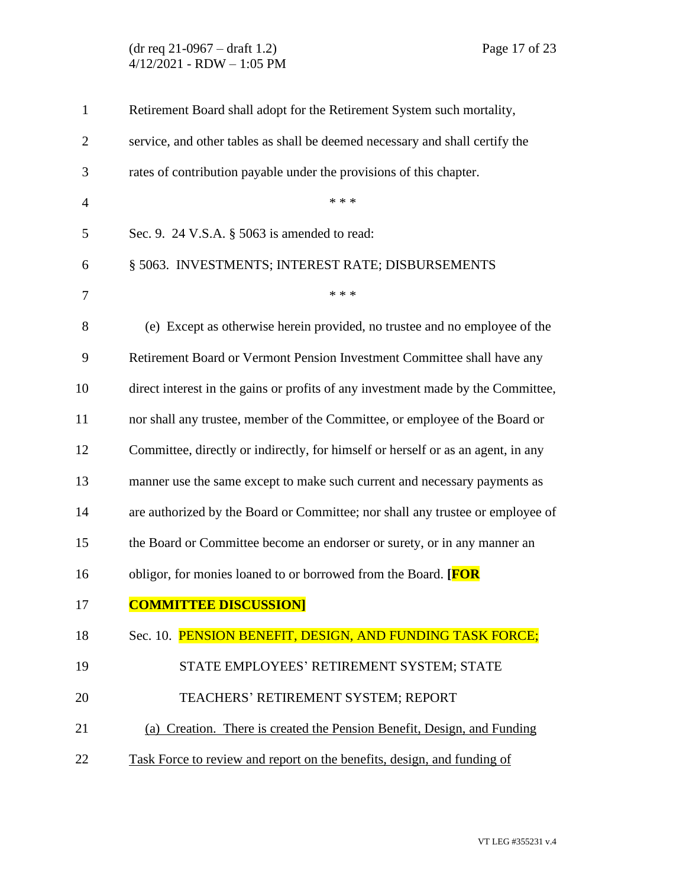(dr req 21-0967 – draft 1.2) Page 17 of 23 4/12/2021 - RDW – 1:05 PM

| $\mathbf{1}$   | Retirement Board shall adopt for the Retirement System such mortality,           |
|----------------|----------------------------------------------------------------------------------|
| $\overline{2}$ | service, and other tables as shall be deemed necessary and shall certify the     |
| 3              | rates of contribution payable under the provisions of this chapter.              |
| $\overline{4}$ | * * *                                                                            |
| 5              | Sec. 9. 24 V.S.A. $\S$ 5063 is amended to read:                                  |
| 6              | § 5063. INVESTMENTS; INTEREST RATE; DISBURSEMENTS                                |
| 7              | * * *                                                                            |
| 8              | (e) Except as otherwise herein provided, no trustee and no employee of the       |
| 9              | Retirement Board or Vermont Pension Investment Committee shall have any          |
| 10             | direct interest in the gains or profits of any investment made by the Committee, |
| 11             | nor shall any trustee, member of the Committee, or employee of the Board or      |
| 12             | Committee, directly or indirectly, for himself or herself or as an agent, in any |
| 13             | manner use the same except to make such current and necessary payments as        |
| 14             | are authorized by the Board or Committee; nor shall any trustee or employee of   |
| 15             | the Board or Committee become an endorser or surety, or in any manner an         |
| 16             | obligor, for monies loaned to or borrowed from the Board. [FOR                   |
| 17             | <b>COMMITTEE DISCUSSION]</b>                                                     |
| 18             | Sec. 10. PENSION BENEFIT, DESIGN, AND FUNDING TASK FORCE;                        |
| 19             | STATE EMPLOYEES' RETIREMENT SYSTEM; STATE                                        |
| 20             | TEACHERS' RETIREMENT SYSTEM; REPORT                                              |
| 21             | (a) Creation. There is created the Pension Benefit, Design, and Funding          |
| 22             | Task Force to review and report on the benefits, design, and funding of          |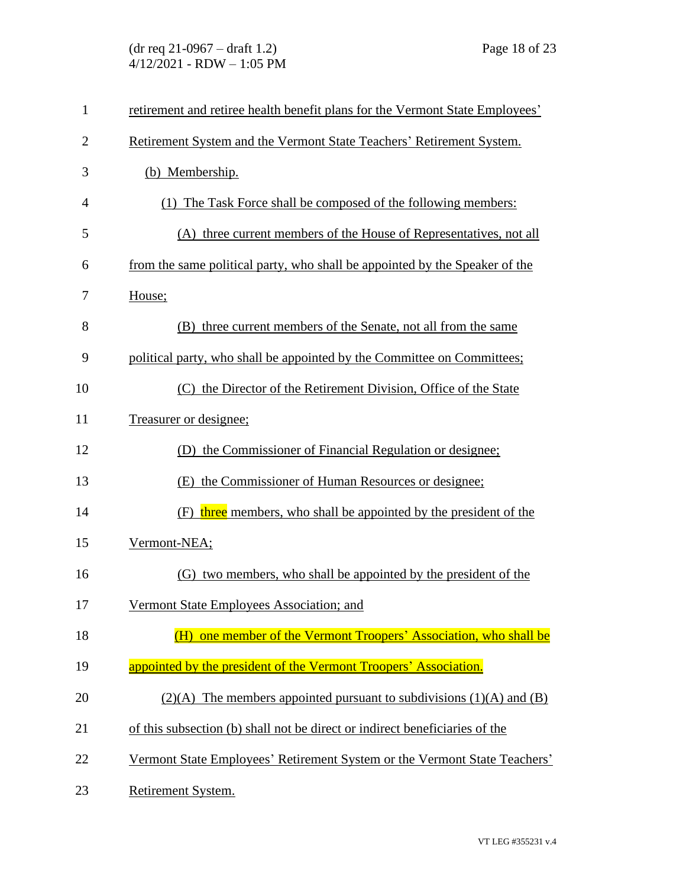| $\mathbf{1}$   | retirement and retiree health benefit plans for the Vermont State Employees' |
|----------------|------------------------------------------------------------------------------|
| $\overline{2}$ | Retirement System and the Vermont State Teachers' Retirement System.         |
| 3              | (b) Membership.                                                              |
| 4              | (1) The Task Force shall be composed of the following members:               |
| 5              | (A) three current members of the House of Representatives, not all           |
| 6              | from the same political party, who shall be appointed by the Speaker of the  |
| 7              | House;                                                                       |
| 8              | (B) three current members of the Senate, not all from the same               |
| 9              | political party, who shall be appointed by the Committee on Committees;      |
| 10             | (C) the Director of the Retirement Division, Office of the State             |
| 11             | Treasurer or designee;                                                       |
| 12             | (D) the Commissioner of Financial Regulation or designee;                    |
| 13             | (E) the Commissioner of Human Resources or designee;                         |
| 14             | (F) three members, who shall be appointed by the president of the            |
| 15             | Vermont-NEA;                                                                 |
| 16             | (G) two members, who shall be appointed by the president of the              |
| 17             | Vermont State Employees Association; and                                     |
| 18             | one member of the Vermont Troopers' Association, who shall be<br>(H)         |
| 19             | appointed by the president of the Vermont Troopers' Association.             |
| 20             | $(2)(A)$ The members appointed pursuant to subdivisions $(1)(A)$ and $(B)$   |
| 21             | of this subsection (b) shall not be direct or indirect beneficiaries of the  |
| 22             | Vermont State Employees' Retirement System or the Vermont State Teachers'    |
| 23             | Retirement System.                                                           |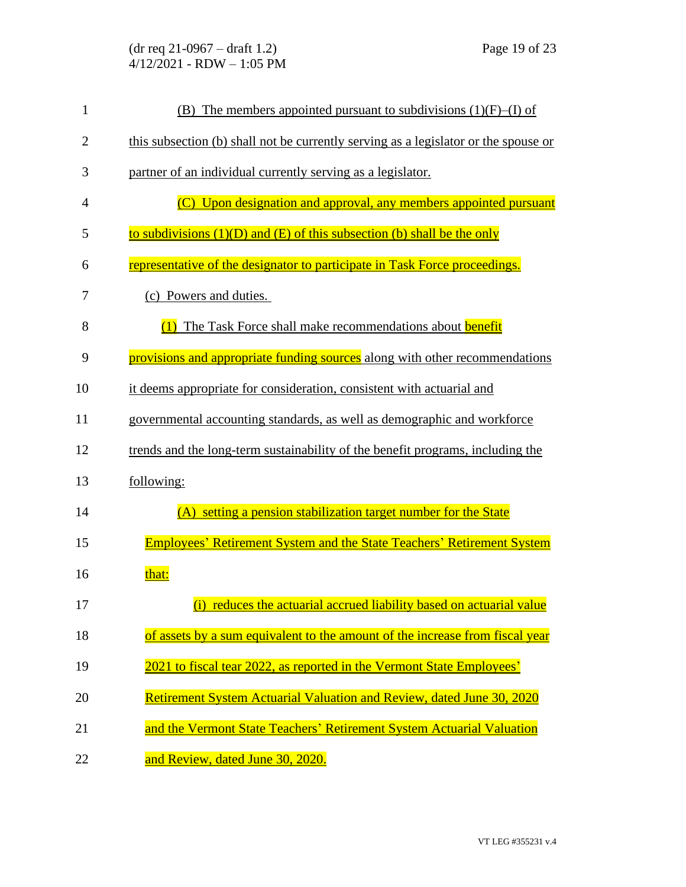| $\mathbf{1}$   | (B) The members appointed pursuant to subdivisions $(1)(F)$ –(I) of                 |
|----------------|-------------------------------------------------------------------------------------|
| $\overline{c}$ | this subsection (b) shall not be currently serving as a legislator or the spouse or |
| 3              | partner of an individual currently serving as a legislator.                         |
| 4              | (C) Upon designation and approval, any members appointed pursuant                   |
| 5              | to subdivisions $(1)(D)$ and $(E)$ of this subsection (b) shall be the only         |
| 6              | representative of the designator to participate in Task Force proceedings.          |
| 7              | (c) Powers and duties.                                                              |
| 8              | The Task Force shall make recommendations about <b>benefit</b>                      |
| 9              | provisions and appropriate funding sources along with other recommendations         |
| 10             | it deems appropriate for consideration, consistent with actuarial and               |
| 11             | governmental accounting standards, as well as demographic and workforce             |
| 12             | trends and the long-term sustainability of the benefit programs, including the      |
| 13             | following:                                                                          |
| 14             | (A) setting a pension stabilization target number for the State                     |
| 15             | <b>Employees' Retirement System and the State Teachers' Retirement System</b>       |
| 16             | that:                                                                               |
| 17             | (i) reduces the actuarial accrued liability based on actuarial value                |
| 18             | of assets by a sum equivalent to the amount of the increase from fiscal year        |
| 19             | 2021 to fiscal tear 2022, as reported in the Vermont State Employees'               |
| 20             | Retirement System Actuarial Valuation and Review, dated June 30, 2020               |
| 21             | and the Vermont State Teachers' Retirement System Actuarial Valuation               |
| 22             | and Review, dated June 30, 2020.                                                    |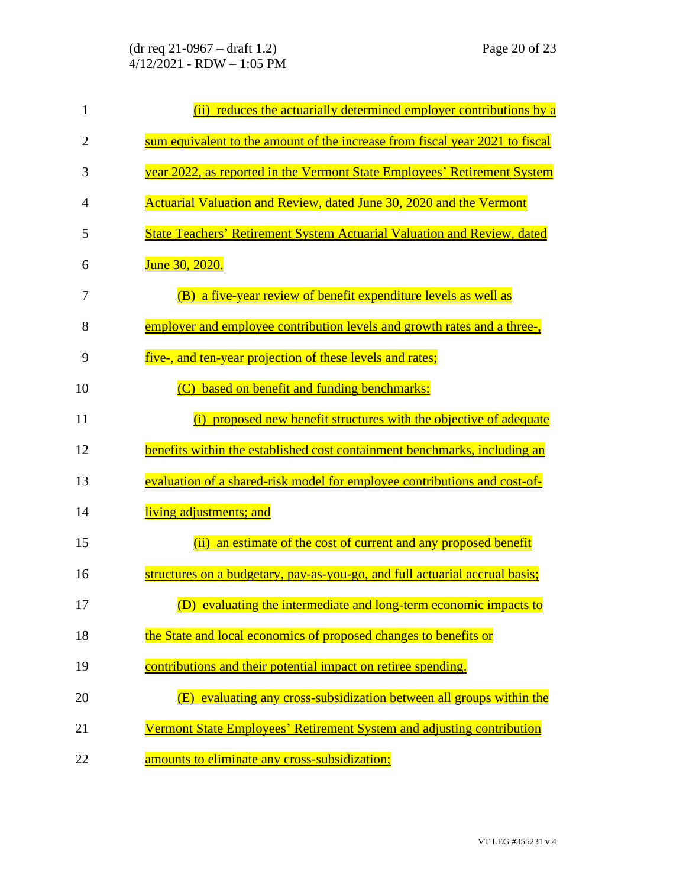| $\mathbf{1}$   | (ii) reduces the actuarially determined employer contributions by a            |
|----------------|--------------------------------------------------------------------------------|
| $\overline{2}$ | sum equivalent to the amount of the increase from fiscal year 2021 to fiscal   |
| 3              | year 2022, as reported in the Vermont State Employees' Retirement System       |
| 4              | Actuarial Valuation and Review, dated June 30, 2020 and the Vermont            |
| 5              | <b>State Teachers' Retirement System Actuarial Valuation and Review, dated</b> |
| 6              | <b>June 30, 2020.</b>                                                          |
| 7              | (B) a five-year review of benefit expenditure levels as well as                |
| 8              | employer and employee contribution levels and growth rates and a three-,       |
| 9              | <u>five-, and ten-year projection of these levels and rates;</u>               |
| 10             | based on benefit and funding benchmarks:                                       |
| 11             | (i) proposed new benefit structures with the objective of adequate             |
| 12             | benefits within the established cost containment benchmarks, including an      |
| 13             | evaluation of a shared-risk model for employee contributions and cost-of-      |
| 14             | living adjustments; and                                                        |
| 15             | (ii)<br>an estimate of the cost of current and any proposed benefit            |
| 16             | structures on a budgetary, pay-as-you-go, and full actuarial accrual basis;    |
| 17             | (D) evaluating the intermediate and long-term economic impacts to              |
| 18             | the State and local economics of proposed changes to benefits or               |
| 19             | contributions and their potential impact on retiree spending.                  |
| 20             | (E) evaluating any cross-subsidization between all groups within the           |
| 21             | Vermont State Employees' Retirement System and adjusting contribution          |
| 22             | amounts to eliminate any cross-subsidization;                                  |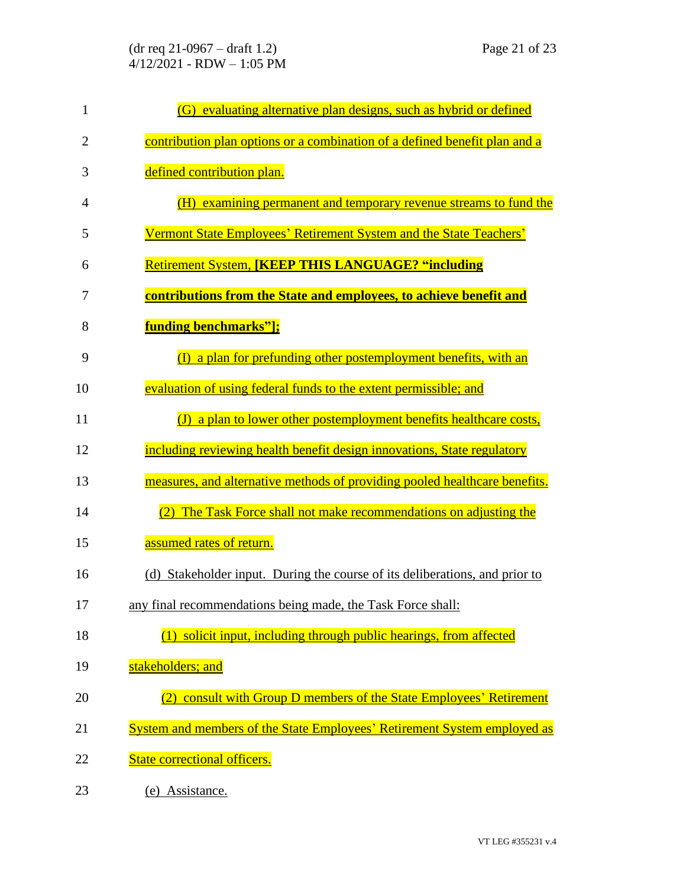| $\mathbf{1}$   | (G) evaluating alternative plan designs, such as hybrid or defined          |
|----------------|-----------------------------------------------------------------------------|
| $\overline{2}$ | contribution plan options or a combination of a defined benefit plan and a  |
| 3              | defined contribution plan.                                                  |
| 4              | (H) examining permanent and temporary revenue streams to fund the           |
| 5              | Vermont State Employees' Retirement System and the State Teachers'          |
| 6              | <b>Retirement System, [KEEP THIS LANGUAGE? "including</b>                   |
| 7              | contributions from the State and employees, to achieve benefit and          |
| 8              | <b>funding benchmarks"];</b>                                                |
| 9              | $(I)$ a plan for prefunding other postemployment benefits, with an          |
| 10             | evaluation of using federal funds to the extent permissible; and            |
| 11             | (J) a plan to lower other postemployment benefits healthcare costs,         |
| 12             | including reviewing health benefit design innovations, State regulatory     |
| 13             | measures, and alternative methods of providing pooled healthcare benefits.  |
| 14             | The Task Force shall not make recommendations on adjusting the              |
| 15             | assumed rates of return.                                                    |
| 16             | (d) Stakeholder input. During the course of its deliberations, and prior to |
| 17             | any final recommendations being made, the Task Force shall:                 |
| 18             | $(1)$ solicit input, including through public hearings, from affected       |
| 19             | stakeholders; and                                                           |
| 20             | (2) consult with Group D members of the State Employees' Retirement         |
| 21             | System and members of the State Employees' Retirement System employed as    |
| 22             | <b>State correctional officers.</b>                                         |
| 23             | (e) Assistance.                                                             |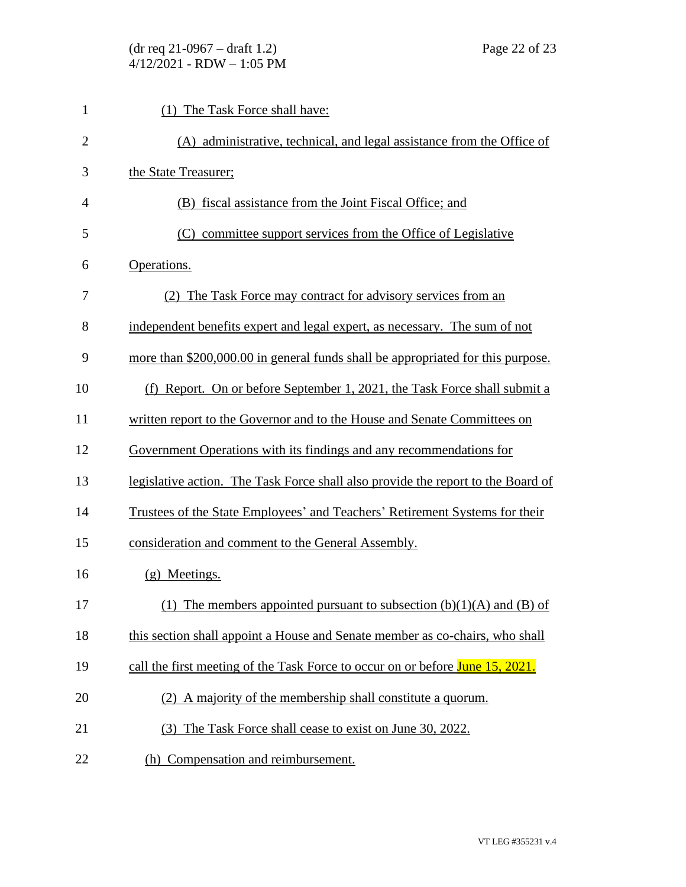| $\mathbf{1}$   | (1) The Task Force shall have:                                                   |
|----------------|----------------------------------------------------------------------------------|
| $\overline{2}$ | (A) administrative, technical, and legal assistance from the Office of           |
| 3              | the State Treasurer;                                                             |
| $\overline{4}$ | (B) fiscal assistance from the Joint Fiscal Office; and                          |
| 5              | committee support services from the Office of Legislative<br>(C)                 |
| 6              | Operations.                                                                      |
| 7              | (2) The Task Force may contract for advisory services from an                    |
| 8              | independent benefits expert and legal expert, as necessary. The sum of not       |
| 9              | more than \$200,000.00 in general funds shall be appropriated for this purpose.  |
| 10             | (f) Report. On or before September 1, 2021, the Task Force shall submit a        |
| 11             | written report to the Governor and to the House and Senate Committees on         |
| 12             | Government Operations with its findings and any recommendations for              |
| 13             | legislative action. The Task Force shall also provide the report to the Board of |
| 14             | Trustees of the State Employees' and Teachers' Retirement Systems for their      |
| 15             | consideration and comment to the General Assembly.                               |
| 16             | (g) Meetings.                                                                    |
| 17             | (1) The members appointed pursuant to subsection $(b)(1)(A)$ and $(B)$ of        |
| 18             | this section shall appoint a House and Senate member as co-chairs, who shall     |
| 19             | call the first meeting of the Task Force to occur on or before June 15, 2021.    |
| 20             | (2) A majority of the membership shall constitute a quorum.                      |
| 21             | The Task Force shall cease to exist on June 30, 2022.<br>(3)                     |
| 22             | (h) Compensation and reimbursement.                                              |